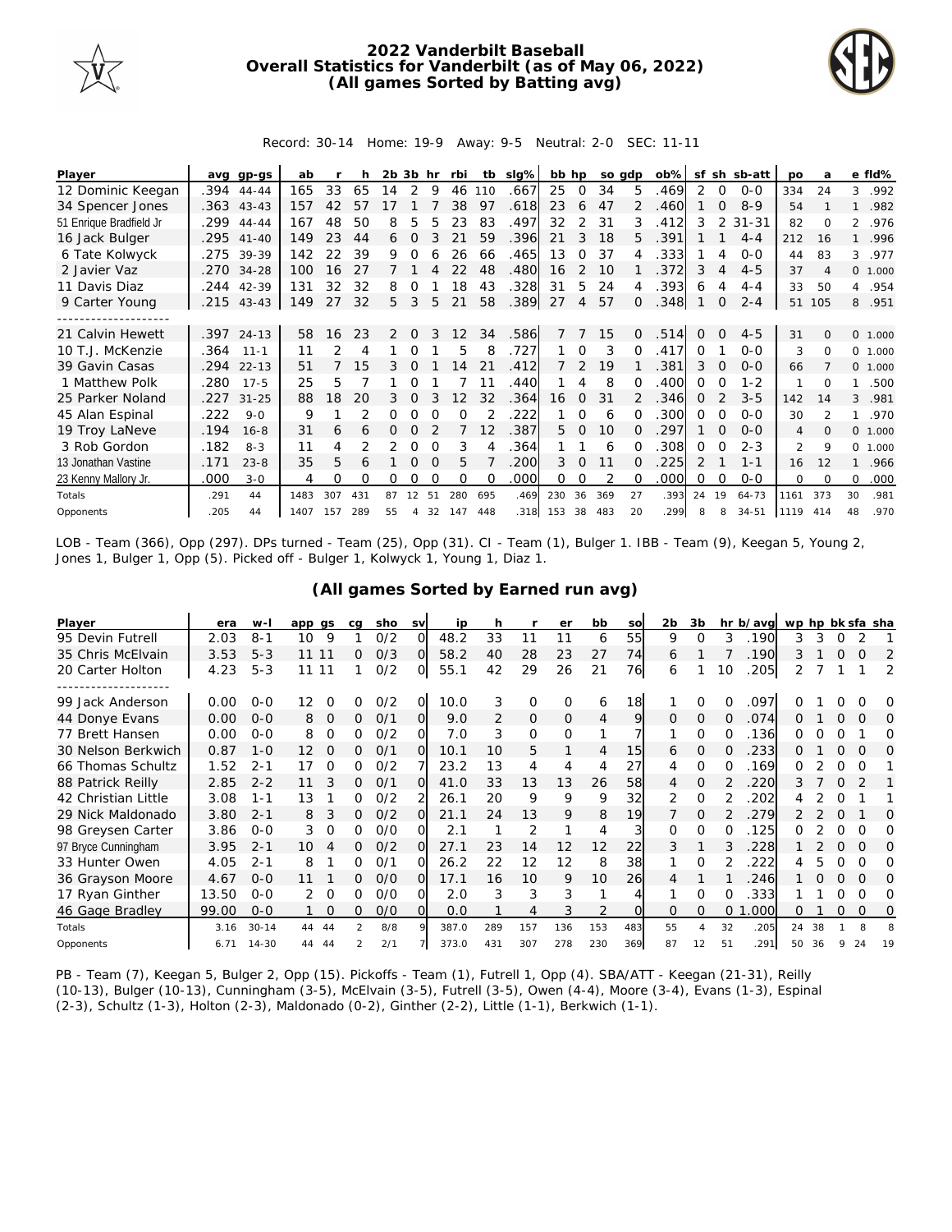

## **2022 Vanderbilt Baseball Overall Statistics for Vanderbilt (as of May 06, 2022) (All games Sorted by Batting avg)**



Record: 30-14 Home: 19-9 Away: 9-5 Neutral: 2-0 SEC: 11-11

| Player                  |      | avg gp-gs    | ab   |     | h              | 2b.            | 3b hr        |          | rbi               | tb  | slg% | bb hp |               |     | so adp       | $ob\%$ | sf            |              | sh sb-att | <b>DO</b> | a                        |                | e fld%  |
|-------------------------|------|--------------|------|-----|----------------|----------------|--------------|----------|-------------------|-----|------|-------|---------------|-----|--------------|--------|---------------|--------------|-----------|-----------|--------------------------|----------------|---------|
| 12 Dominic Keegan       | .394 | $44 - 44$    | 165  | 33  | 65             | 14             | 2            | 9        | 46                | 110 | .667 | 25    | 0             | 34  | 5            | .469   | 2             | 0            | $0 - 0$   | 334       | 24                       | 3              | .992    |
| 34 Spencer Jones        |      | $.363$ 43-43 | 157  | 42  | 57             |                |              |          | 38                | 97  | .618 | 23    | 6             | 47  |              | .460   |               | $\Omega$     | $8 - 9$   | 54        |                          | $\mathbf{1}$   | .982    |
| 51 Enrique Bradfield Jr | .299 | $44 - 44$    | 167  | 48  | 50             | 8              | 5            | 5        | 23                | 83  | .497 | 32    | 2             | 31  | 3            | .412   | 3             | 2            | $31 - 31$ | 82        | $\Omega$                 | $\overline{2}$ | .976    |
| 16 Jack Bulger          | .295 | $41 - 40$    | 149  | 23  | 44             | 6              | $\Omega$     |          | 21                | 59  | .396 | 21    | 3             | 18  | 5.           | .391   |               |              | $4 - 4$   | 212       | 16                       | $\mathbf{1}$   | .996    |
| 6 Tate Kolwyck          |      | .275 39-39   | 142  | 22  | 39             | 9              | ∩            |          | 26                | 66  | .465 | 13    | $\Omega$      | 37  | 4            | .333   |               | 4            | $0 - 0$   | 44        | 83                       | 3              | .977    |
| 2 Javier Vaz            | .270 | $34 - 28$    | 100  | 16  | 27             |                |              | 4        | 22                | 48  | .480 | 16    | 2             | 10  |              | 372    | 3             | 4            | $4 - 5$   | 37        | $\overline{A}$           |                | 0 1.000 |
| 11 Davis Diaz           | .244 | 42-39        | 131  | 32  | 32             | 8              |              |          | 18                | 43  | .328 | 31    | 5.            | 24  | 4            | .393   | 6             | 4            | $4 - 4$   | 33        | 50                       | $\overline{4}$ | .954    |
| 9 Carter Young          |      | $.215$ 43-43 | 149  | 27  | 32             | 5.             | 3            | 5        | 21                | 58  | .389 | 27    | 4             | 57  | $\Omega$     | .348   |               | $\mathbf{0}$ | $2 - 4$   | 51        | 105                      | 8              | .951    |
|                         |      |              |      |     |                |                |              |          |                   |     |      |       |               |     |              |        |               |              |           |           |                          |                |         |
| 21 Calvin Hewett        |      | .397 24-13   | 58   | 16  | 23             | $\overline{2}$ | $\Omega$     | 3        | $12 \overline{ }$ | 34  | .586 |       |               | 15  | $\Omega$     | .514   | $\Omega$      | $\Omega$     | $4 - 5$   | 31        | $\Omega$                 |                | 0 1.000 |
| 10 T.J. McKenzie        | .364 | $11 - 1$     | 11   | 2   | 4              |                |              |          | 5                 | 8   | .727 |       | $\Omega$      | 3   | $\Omega$     | .417   | $\Omega$      |              | $0 - 0$   | 3         | $\Omega$                 |                | 0 1.000 |
| 39 Gavin Casas          | .294 | $22 - 13$    | 51   |     | 15             | 3              | $\Omega$     |          | 14                | 21  | 412  |       | $\mathcal{L}$ | 19  |              | .381   | 3             | $\Omega$     | $0 - 0$   | 66        |                          |                | 0 1.000 |
| 1 Matthew Polk          | .280 | $17 - 5$     | 25   | 5   |                |                | Ω            |          |                   | 11  | .440 |       | 4             | 8   | $\Omega$     | .400   | $\Omega$      | O            | $1 - 2$   |           | 0                        | 1.             | .500    |
| 25 Parker Noland        | .227 | $31 - 25$    | 88   | 18  | 20             | 3              | $\mathbf 0$  |          | 12                | 32  | .364 | 16    | $\mathbf{0}$  | 31  |              | .346   | $\Omega$      |              | $3 - 5$   | 142       | 14                       | 3              | .981    |
| 45 Alan Espinal         | .222 | $9 - 0$      | 9    |     | $\overline{2}$ | 0              |              | $\Omega$ | $\Omega$          |     | 222  |       | $\Omega$      | 6   | $\Omega$     | .300   | $\Omega$      | $\Omega$     | $0 - 0$   | 30        | $\overline{\mathcal{L}}$ | 1              | .970    |
| 19 Troy LaNeve          | .194 | $16 - 8$     | 31   | 6   | 6              | 0              | <sup>o</sup> |          |                   | 12  | 387  | 5.    | $\Omega$      | 10  | <sup>o</sup> | .297   |               | $\Omega$     | $O-O$     | 4         | $\Omega$                 |                | 0 1.000 |
| 3 Rob Gordon            | .182 | $8 - 3$      | 11   |     |                |                | 0            | $\Omega$ | 3                 |     | 364  |       |               | 6   | O            | 308    | $\Omega$      | O            | $2 - 3$   | 2         | 9                        | $\Omega$       | 1.000   |
| 13 Jonathan Vastine     | .171 | $23 - 8$     | 35   | 5.  | 6              |                | $\Omega$     | $\Omega$ | 5                 |     | .200 | 3     | $\Omega$      | 11  | $\Omega$     | .225   | $\mathcal{P}$ |              | $1 - 1$   | 16        | 12                       | $\mathbf{1}$   | .966    |
| 23 Kenny Mallory Jr.    | .000 | $3 - 0$      | 4    | 0   | O              | Ω              |              |          | $\Omega$          | O   | .000 | Ω     |               |     | O            | .000   | $\Omega$      | $\Omega$     | $0 - 0$   | 0         | $\Omega$                 | 0              | .000    |
| Totals                  | .291 | 44           | 1483 | 307 | 431            | 87             | 12           | 51       | 280               | 695 | .469 | 230   | 36            | 369 | 27           | .393   | 24            | 19           | $64 - 73$ | 1161      | 373                      | 30             | .981    |
| Opponents               | .205 | 44           | 1407 | 157 | 289            | 55             | 4            | 32       | 147               | 448 | .318 | 153   | 38            | 483 | 20           | 299    | 8             | 8            | $34 - 51$ | 1119      | 414                      | 48             | .970    |

LOB - Team (366), Opp (297). DPs turned - Team (25), Opp (31). CI - Team (1), Bulger 1. IBB - Team (9), Keegan 5, Young 2, Jones 1, Bulger 1, Opp (5). Picked off - Bulger 1, Kolwyck 1, Young 1, Diaz 1.

|  |  | (All games Sorted by Earned run avg) |  |  |
|--|--|--------------------------------------|--|--|
|  |  |                                      |  |  |

| Player              | era   | $W -$     | app gs |          | ca | sho | <b>SV</b> | ip    | h             |                | er       | bb             | SO              | 2b.      | 3b       |                | hr b/avg | wp hp bk sfa sha |    |          |          |          |
|---------------------|-------|-----------|--------|----------|----|-----|-----------|-------|---------------|----------------|----------|----------------|-----------------|----------|----------|----------------|----------|------------------|----|----------|----------|----------|
| 95 Devin Futrell    | 2.03  | $8 - 1$   | 10     | 9        |    | 0/2 | ΩI        | 48.2  | 33            | 11             | 11       | 6              | 55              | 9        | Ω        | 3              | .190     | 3                | 3  |          |          |          |
| 35 Chris McElvain   | 3.53  | $5 - 3$   | 11 11  |          | 0  | O/3 | $\Omega$  | 58.2  | 40            | 28             | 23       | 27             | 74              | 6        |          |                | .190     | 3                |    | $\Omega$ | $\Omega$ | 2        |
| 20 Carter Holton    | 4.23  | $5 - 3$   | 11 11  |          |    | 0/2 | 0l        | 55.1  | 42            | 29             | 26       | 21             | 76              | 6        |          | 10             | .205     |                  |    |          |          | 2        |
|                     |       |           |        |          |    |     |           |       |               |                |          |                |                 |          |          |                |          |                  |    |          |          |          |
| 99 Jack Anderson    | 0.00  | $O - O$   | 12     | O        | O  | O/2 | O.        | 10.0  | 3             | 0              | $\Omega$ | 6              | 18 <sup>1</sup> |          | Ω        | Ω              | .097     |                  |    |          |          | O        |
| 44 Donye Evans      | 0.00  | $O - O$   | 8      | $\Omega$ | 0  | O/1 | O.        | 9.0   | $\mathcal{P}$ | $\overline{O}$ | $\Omega$ | $\overline{4}$ | 9               | $\Omega$ | $\Omega$ | 0              | .074     | ∩                |    | Ω        | O        | 0        |
| 77 Brett Hansen     | 0.00  | $0 - 0$   | 8      | 0        | 0  | 0/2 | 0         | 7.0   | 3             | $\Omega$       | $\Omega$ | 1              |                 |          | $\Omega$ | O              | .136     | 0                |    |          |          | Ω        |
| 30 Nelson Berkwich  | 0.87  | $1 - 0$   | 12     | $\Omega$ | 0  | 0/1 | $\Omega$  | 10.1  | 10            | 5              |          | 4              | 15              | 6        | 0        | $\Omega$       | 233      | 0                |    | $\Omega$ | $\Omega$ | $\Omega$ |
| 66 Thomas Schultz   | 1.52  | $2 - 1$   | 17     | 0        | 0  | 0/2 |           | 23.2  | 13            | 4              | 4        | 4              | 27              | 4        | 0        | 0              | .169     | 0                |    | 0        | O        |          |
| 88 Patrick Reilly   | 2.85  | $2 - 2$   | 11     |          | 0  | 0/1 | ΩI        | 41.0  | 33            | 13             | l 3      | 26             | 58              | 4        | $\Omega$ |                | 220      | 3.               |    |          |          |          |
| 42 Christian Little | 3.08  | $1 - 1$   | 13     |          | 0  | 0/2 |           | 26.1  | 20            | 9              | 9        | 9              | 32              | 2        | $\Omega$ |                | 202      |                  |    | O        |          |          |
| 29 Nick Maldonado   | 3.80  | $2 - 1$   | 8      | 3        | 0  | O/2 | $\Omega$  | 21.1  | 24            | 13             | 9        | 8              | 19              |          | $\Omega$ |                | 279      |                  |    | $\Omega$ |          | O        |
| 98 Greysen Carter   | 3.86  | $0 - 0$   | 3      | $\Omega$ | 0  | O/O | വ         | 2.1   |               | 2              |          | 4              | 3               | $\Omega$ | $\Omega$ | 0              | 125      | 0                |    | O        | $\Omega$ | Ω        |
| 97 Bryce Cunningham | 3.95  | $2 - 1$   | 10     |          | 0  | 0/2 | ΩI        | 27.1  | 23            | 14             | 12       | 12             | 22              | 3        |          |                | 228      |                  |    | Ω        | $\Omega$ | O        |
| 33 Hunter Owen      | 4.05  | $2 - 1$   | 8      |          | O  | O/1 | $\Omega$  | 26.2  | 22            | 12             | 12       | 8              | 38              |          | $\Omega$ |                | 222      |                  |    | Ω        | Ω        | O        |
| 36 Grayson Moore    | 4.67  | $0 - 0$   | 11     |          | 0  | O/O | $\Omega$  | 17.1  | 16            | 10             | 9        | 10             | 26              | 4        |          |                | 246      |                  |    |          | $\Omega$ | $\Omega$ |
| 17 Ryan Ginther     | 13.50 | $0 - 0$   | 2      | $\Omega$ | O  | O/O | വ         | 2.0   | 3             | 3              | 3        |                | 4               |          | $\Omega$ | $\Omega$       | .333     |                  |    | Ω        | $\Omega$ | Ω        |
| 46 Gage Bradley     | 99.00 | $0 - 0$   |        | 0        | 0  | O/O | O.        | 0.0   |               | 4              | 3        |                | <sup>O</sup>    | $\Omega$ | 0        | $\overline{0}$ | .000     | 0                |    | 0        | $\Omega$ | 0        |
| Totals              | 3.16  | $30 - 14$ | 44     | 44       | 2  | 8/8 | 9         | 387.0 | 289           | 157            | 136      | 153            | 483             | 55       |          | 32             | .205     | 24               | 38 |          | 8        |          |
| Opponents           | 6.71  | $14 - 30$ | 44     | 44       |    | 2/1 |           | 373.0 | 431           | 307            | 278      | 230            | 369             | 87       | 12       | 51             | .291     | 50               | 36 | 9        | 24       | 19       |

PB - Team (7), Keegan 5, Bulger 2, Opp (15). Pickoffs - Team (1), Futrell 1, Opp (4). SBA/ATT - Keegan (21-31), Reilly (10-13), Bulger (10-13), Cunningham (3-5), McElvain (3-5), Futrell (3-5), Owen (4-4), Moore (3-4), Evans (1-3), Espinal (2-3), Schultz (1-3), Holton (2-3), Maldonado (0-2), Ginther (2-2), Little (1-1), Berkwich (1-1).